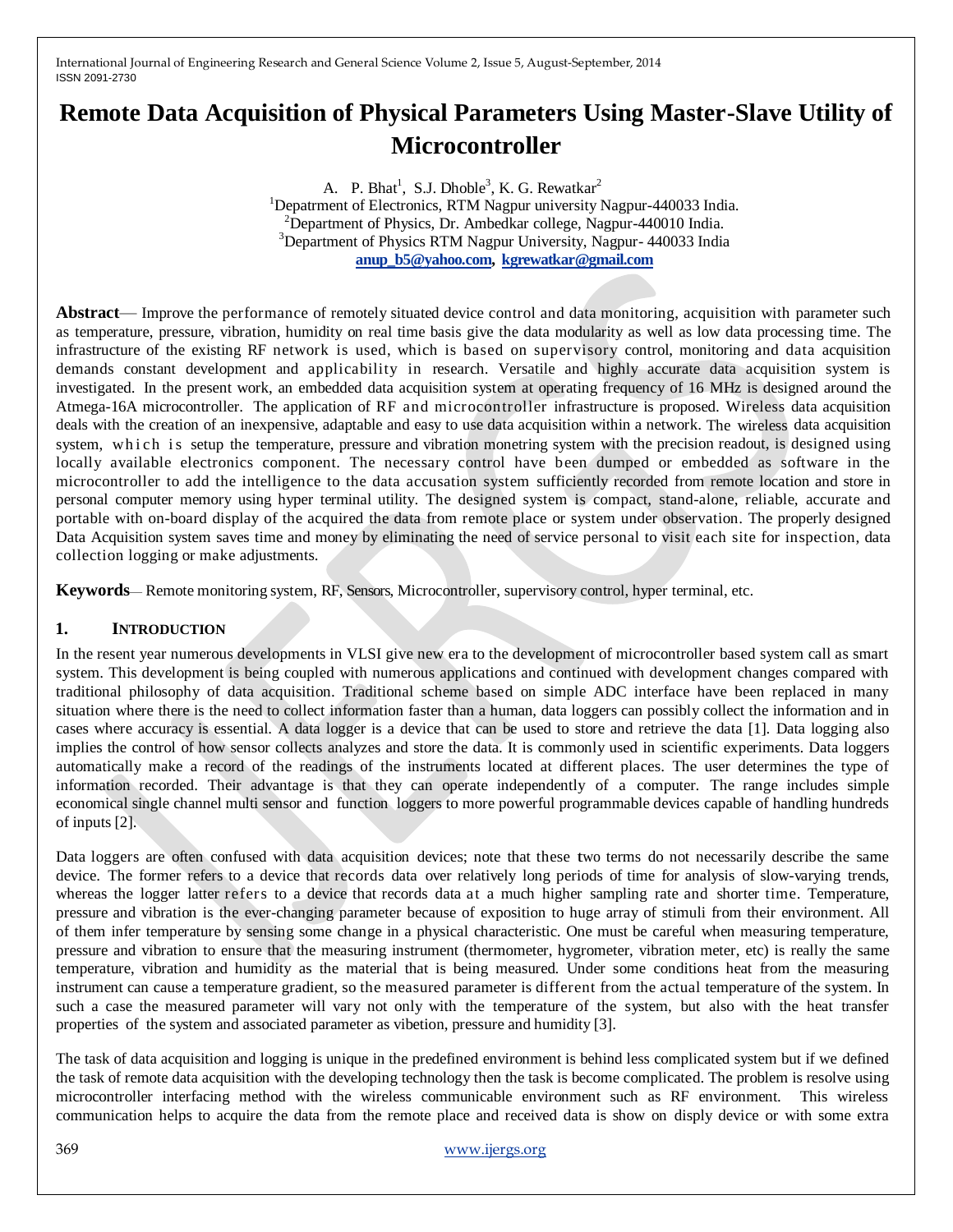# **Remote Data Acquisition of Physical Parameters Using Master-Slave Utility of Microcontroller**

A. P. Bhat<sup>1</sup>, S.J. Dhoble<sup>3</sup>, K. G. Rewatkar<sup>2</sup> <sup>1</sup>Depatrment of Electronics, RTM Nagpur university Nagpur-440033 India. <sup>2</sup>Department of Physics, Dr. Ambedkar college, Nagpur-440010 India. <sup>3</sup>Department of Physics RTM Nagpur University, Nagpur- 440033 India **[anup\\_b5@yahoo.com,](mailto:anup_b5@yahoo.com) [kgrewatkar@gmail.com](mailto:kgrewatkar@gmail.com)**

**Abstract**— Improve the performance of remotely situated device control and data monitoring, acquisition with parameter such as temperature, pressure, vibration, humidity on real time basis give the data modularity as well as low data processing time. The infrastructure of the existing RF network is used, which is based on supervisory control, monitoring and data acquisition demands constant development and applicability in research. Versatile and highly accurate data acquisition system is investigated. In the present work, an embedded data acquisition system at operating frequency of 16 MHz is designed around the Atmega-16A microcontroller. The application of RF and microcontroller infrastructure is proposed. Wireless data acquisition deals with the creation of an inexpensive, adaptable and easy to use data acquisition within a network. The wireless data acquisition system, which is setup the temperature, pressure and vibration monetring system with the precision readout, is designed using locally available electronics component. The necessary control have been dumped or embedded as software in the microcontroller to add the intelligence to the data accusation system sufficiently recorded from remote location and store in personal computer memory using hyper terminal utility. The designed system is compact, stand-alone, reliable, accurate and portable with on-board display of the acquired the data from remote place or system under observation. The properly designed Data Acquisition system saves time and money by eliminating the need of service personal to visit each site for inspection, data collection logging or make adjustments.

**Keywords**— Remote monitoring system, RF, Sensors, Microcontroller, supervisory control, hyper terminal, etc.

# **1. INTRODUCTION**

In the resent year numerous developments in VLSI give new era to the development of microcontroller based system call as smart system. This development is being coupled with numerous applications and continued with development changes compared with traditional philosophy of data acquisition. Traditional scheme based on simple ADC interface have been replaced in many situation where there is the need to collect information faster than a human, data loggers can possibly collect the information and in cases where accuracy is essential. A data logger is a device that can be used to store and retrieve the data [1]. Data logging also implies the control of how sensor collects analyzes and store the data. It is commonly used in scientific experiments. Data loggers automatically make a record of the readings of the instruments located at different places. The user determines the type of information recorded. Their advantage is that they can operate independently of a computer. The range includes simple economical single channel multi sensor and function loggers to more powerful programmable devices capable of handling hundreds of inputs [2].

Data loggers are often confused with data acquisition devices; note that these two terms do not necessarily describe the same device. The former refers to a device that records data over relatively long periods of time for analysis of slow-varying trends, whereas the logger latter refers to a device that records data at a much higher sampling rate and shorter time. Temperature, pressure and vibration is the ever-changing parameter because of exposition to huge array of stimuli from their environment. All of them infer temperature by sensing some change in a physical characteristic. One must be careful when measuring temperature, pressure and vibration to ensure that the measuring instrument (thermometer, hygrometer, vibration meter, etc) is really the same temperature, vibration and humidity as the material that is being measured. Under some conditions heat from the measuring instrument can cause a temperature gradient, so the measured parameter is different from the actual temperature of the system. In such a case the measured parameter will vary not only with the temperature of the system, but also with the heat transfer properties of the system and associated parameter as vibetion, pressure and humidity [3].

The task of data acquisition and logging is unique in the predefined environment is behind less complicated system but if we defined the task of remote data acquisition with the developing technology then the task is become complicated. The problem is resolve using microcontroller interfacing method with the wireless communicable environment such as RF environment. This wireless communication helps to acquire the data from the remote place and received data is show on disply device or with some extra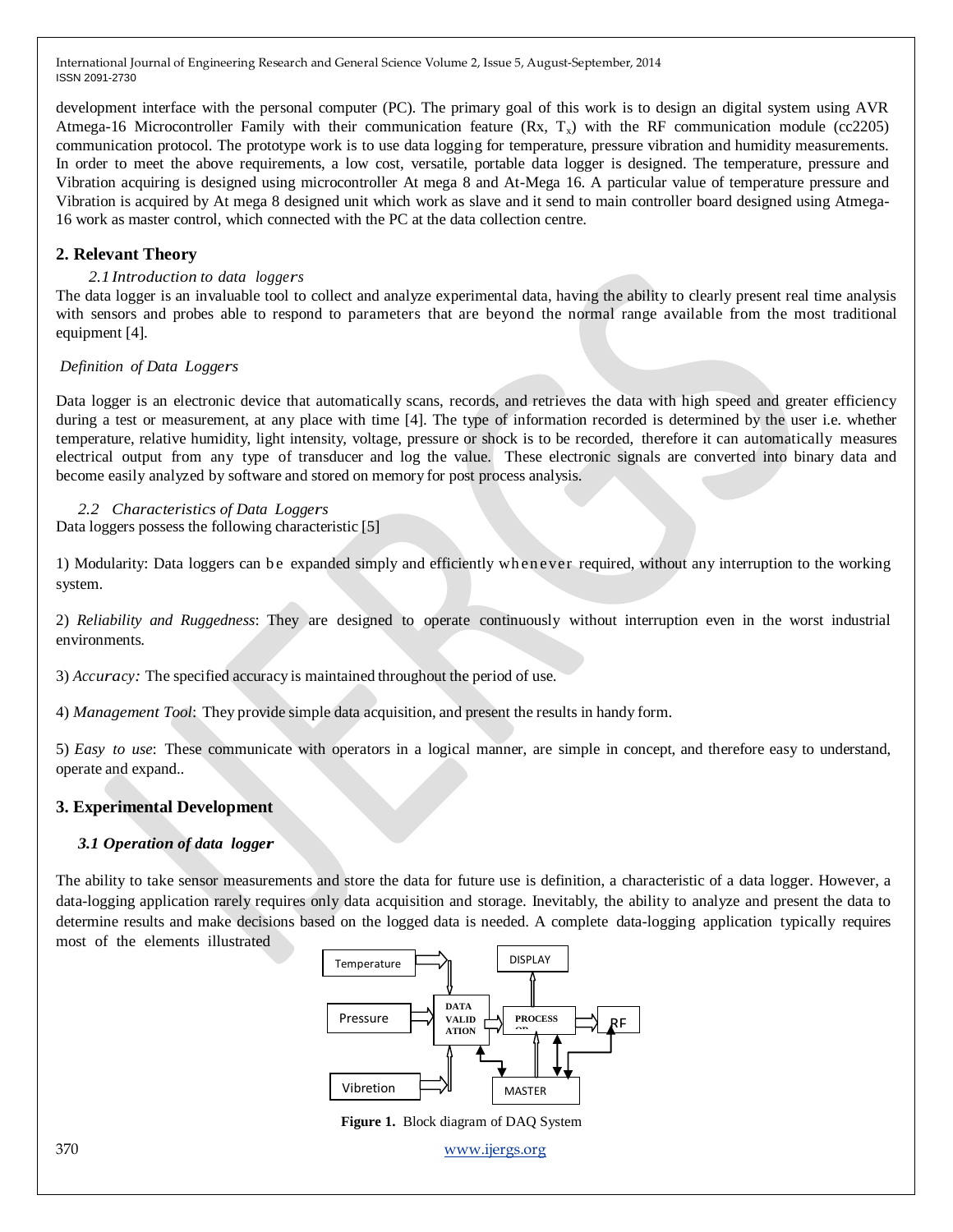development interface with the personal computer (PC). The primary goal of this work is to design an digital system using AVR Atmega-16 Microcontroller Family with their communication feature  $(Rx, T<sub>x</sub>)$  with the RF communication module (cc2205) communication protocol. The prototype work is to use data logging for temperature, pressure vibration and humidity measurements. In order to meet the above requirements, a low cost, versatile, portable data logger is designed. The temperature, pressure and Vibration acquiring is designed using microcontroller At mega 8 and At-Mega 16. A particular value of temperature pressure and Vibration is acquired by At mega 8 designed unit which work as slave and it send to main controller board designed using Atmega-16 work as master control, which connected with the PC at the data collection centre.

# **2. Relevant Theory**

#### *2.1 Introduction to data loggers*

The data logger is an invaluable tool to collect and analyze experimental data, having the ability to clearly present real time analysis with sensors and probes able to respond to parameters that are beyond the normal range available from the most traditional equipment [4].

#### *Definition of Data Loggers*

Data logger is an electronic device that automatically scans, records, and retrieves the data with high speed and greater efficiency during a test or measurement, at any place with time [4]. The type of information recorded is determined by the user i.e. whether temperature, relative humidity, light intensity, voltage, pressure or shock is to be recorded, therefore it can automatically measures electrical output from any type of transducer and log the value. These electronic signals are converted into binary data and become easily analyzed by software and stored on memory for post process analysis.

*2.2 Characteristics of Data Loggers* Data loggers possess the following characteristic [5]

1) Modularity: Data loggers can b e expanded simply and efficiently wh en ever required, without any interruption to the working system.

2) *Reliability and Ruggedness*: They are designed to operate continuously without interruption even in the worst industrial environments.

3) *Accuracy:* The specified accuracy is maintained throughout the period of use.

4) *Management Tool*: They provide simple data acquisition, and present the results in handy form.

5) *Easy to use*: These communicate with operators in a logical manner, are simple in concept, and therefore easy to understand, operate and expand..

## **3. Experimental Development**

## *3.1 Operation of data logger*

The ability to take sensor measurements and store the data for future use is definition, a characteristic of a data logger. However, a data-logging application rarely requires only data acquisition and storage. Inevitably, the ability to analyze and present the data to determine results and make decisions based on the logged data is needed. A complete data-logging application typically requires most of the elements illustrated



 **Figure 1.** Block diagram of DAQ System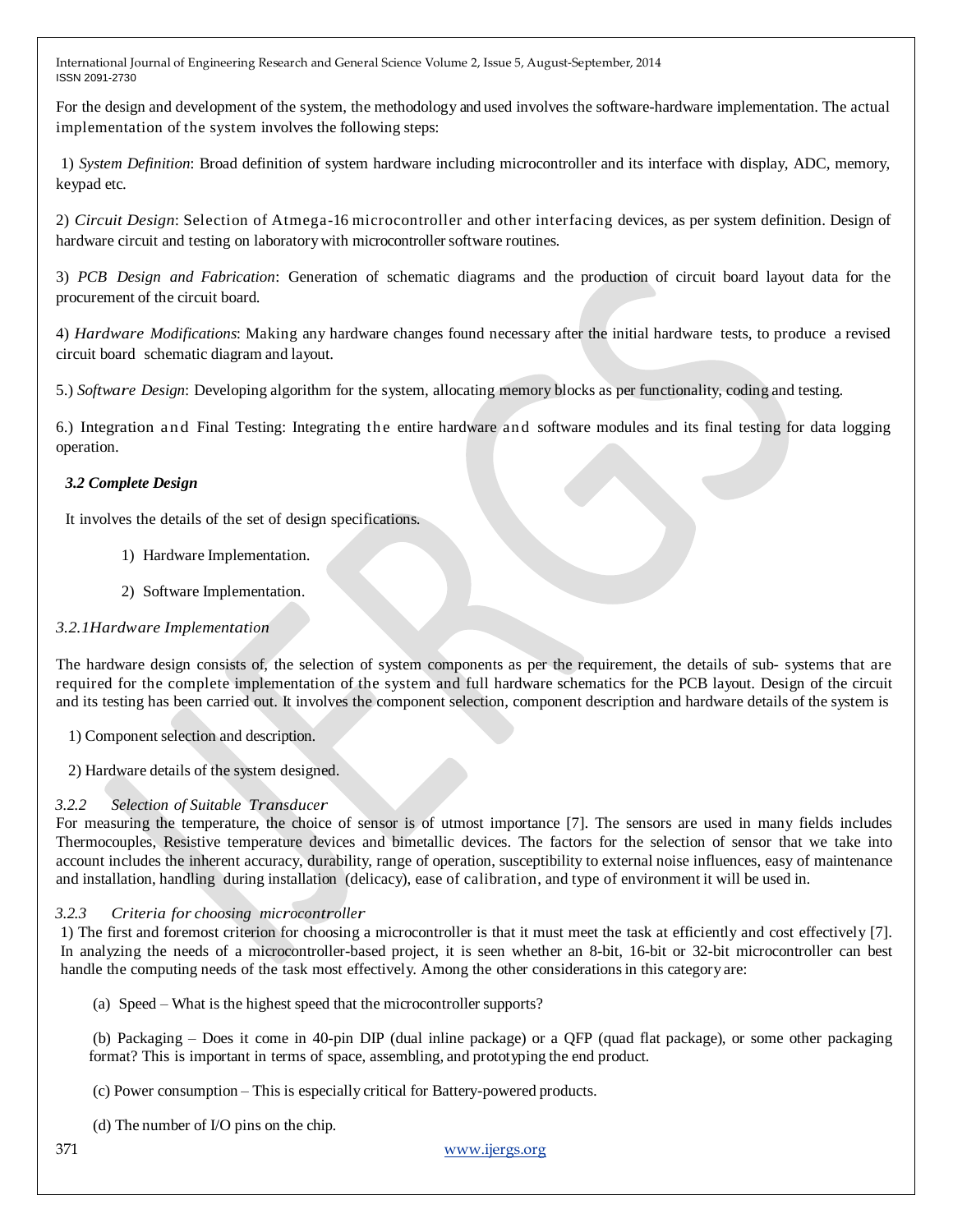For the design and development of the system, the methodology and used involves the software-hardware implementation. The actual implementation of the system involves the following steps:

1) *System Definition*: Broad definition of system hardware including microcontroller and its interface with display, ADC, memory, keypad etc.

2) *Circuit Design*: Selection of Atmega-16 microcontroller and other interfacing devices, as per system definition. Design of hardware circuit and testing on laboratory with microcontroller software routines.

3) *PCB Design and Fabrication*: Generation of schematic diagrams and the production of circuit board layout data for the procurement of the circuit board.

4) *Hardware Modifications*: Making any hardware changes found necessary after the initial hardware tests, to produce a revised circuit board schematic diagram and layout.

5.) *Software Design*: Developing algorithm for the system, allocating memory blocks as per functionality, coding and testing.

6.) Integration and Final Testing: Integrating the entire hardware and software modules and its final testing for data logging operation.

# *3.2 Complete Design*

It involves the details of the set of design specifications.

- 1) Hardware Implementation.
- 2) Software Implementation.

# *3.2.1Hardware Implementation*

The hardware design consists of, the selection of system components as per the requirement, the details of sub- systems that are required for the complete implementation of the system and full hardware schematics for the PCB layout. Design of the circuit and its testing has been carried out. It involves the component selection, component description and hardware details of the system is

1) Component selection and description.

2) Hardware details of the system designed.

# *3.2.2 Selection of Suitable Transducer*

For measuring the temperature, the choice of sensor is of utmost importance [7]. The sensors are used in many fields includes Thermocouples, Resistive temperature devices and bimetallic devices. The factors for the selection of sensor that we take into account includes the inherent accuracy, durability, range of operation, susceptibility to external noise influences, easy of maintenance and installation, handling during installation (delicacy), ease of calibration, and type of environment it will be used in.

# *3.2.3 Criteria for choosing microcontroller*

1) The first and foremost criterion for choosing a microcontroller is that it must meet the task at efficiently and cost effectively [7]. In analyzing the needs of a microcontroller-based project, it is seen whether an 8-bit, 16-bit or 32-bit microcontroller can best handle the computing needs of the task most effectively. Among the other considerations in this category are:

(a) Speed – What is the highest speed that the microcontroller supports?

(b) Packaging – Does it come in 40-pin DIP (dual inline package) or a QFP (quad flat package), or some other packaging format? This is important in terms of space, assembling, and prototyping the end product.

(c) Power consumption – This is especially critical for Battery-powered products.

(d) The number of I/O pins on the chip.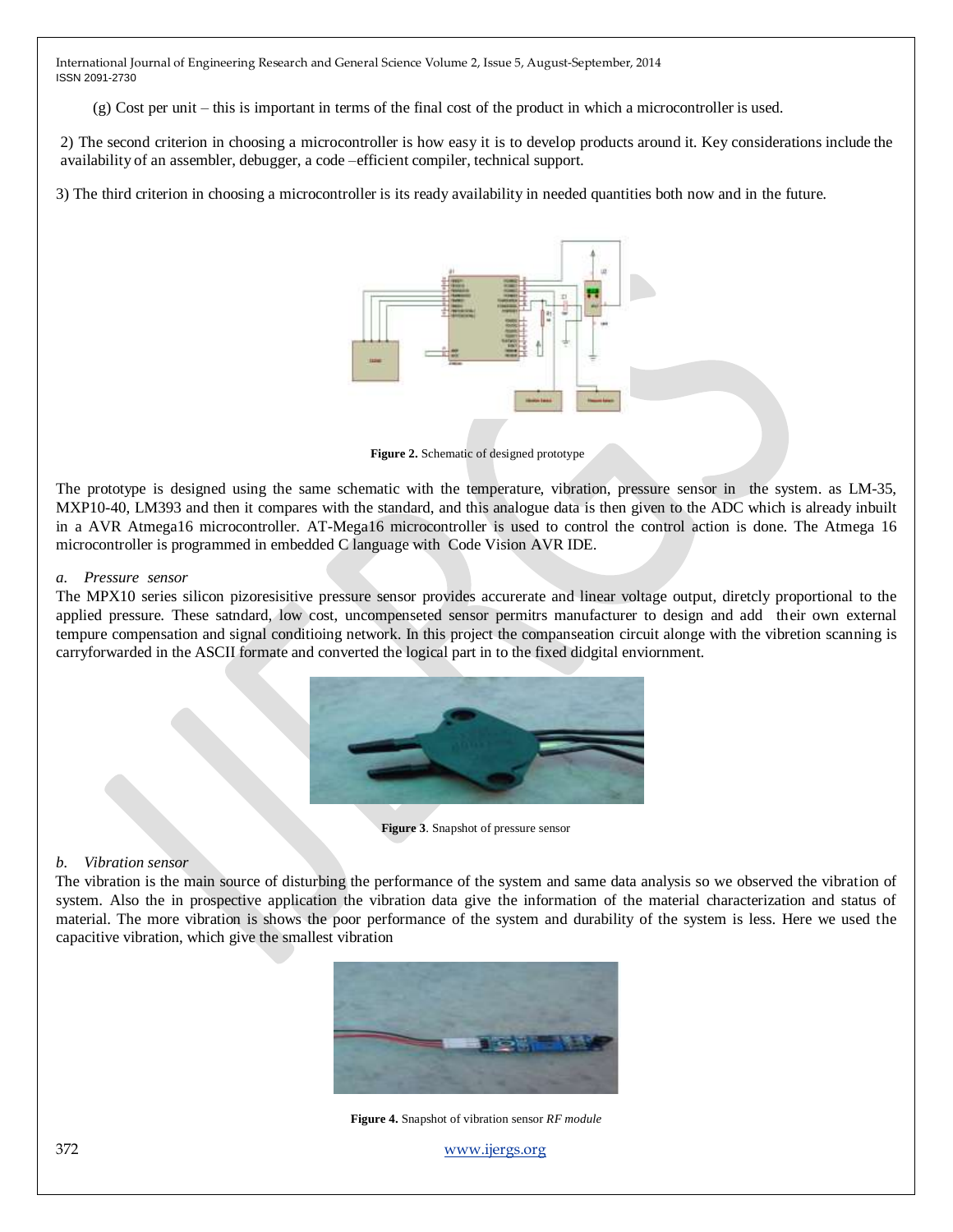(g) Cost per unit – this is important in terms of the final cost of the product in which a microcontroller is used.

2) The second criterion in choosing a microcontroller is how easy it is to develop products around it. Key considerations include the availability of an assembler, debugger, a code –efficient compiler, technical support.

3) The third criterion in choosing a microcontroller is its ready availability in needed quantities both now and in the future.



**Figure 2.** Schematic of designed prototype

The prototype is designed using the same schematic with the temperature, vibration, pressure sensor in the system. as LM-35, MXP10-40, LM393 and then it compares with the standard, and this analogue data is then given to the ADC which is already inbuilt in a AVR Atmega16 microcontroller. AT-Mega16 microcontroller is used to control the control action is done. The Atmega 16 microcontroller is programmed in embedded C language with Code Vision AVR IDE.

#### *a. Pressure sensor*

The MPX10 series silicon pizoresisitive pressure sensor provides accurerate and linear voltage output, diretcly proportional to the applied pressure. These satndard, low cost, uncompenseted sensor permitrs manufacturer to design and add their own external tempure compensation and signal conditioing network. In this project the companseation circuit alonge with the vibretion scanning is carryforwarded in the ASCII formate and converted the logical part in to the fixed didgital enviornment.



**Figure 3**. Snapshot of pressure sensor

## *b. Vibration sensor*

The vibration is the main source of disturbing the performance of the system and same data analysis so we observed the vibration of system. Also the in prospective application the vibration data give the information of the material characterization and status of material. The more vibration is shows the poor performance of the system and durability of the system is less. Here we used the capacitive vibration, which give the smallest vibration



**Figure 4.** Snapshot of vibration sensor *RF module*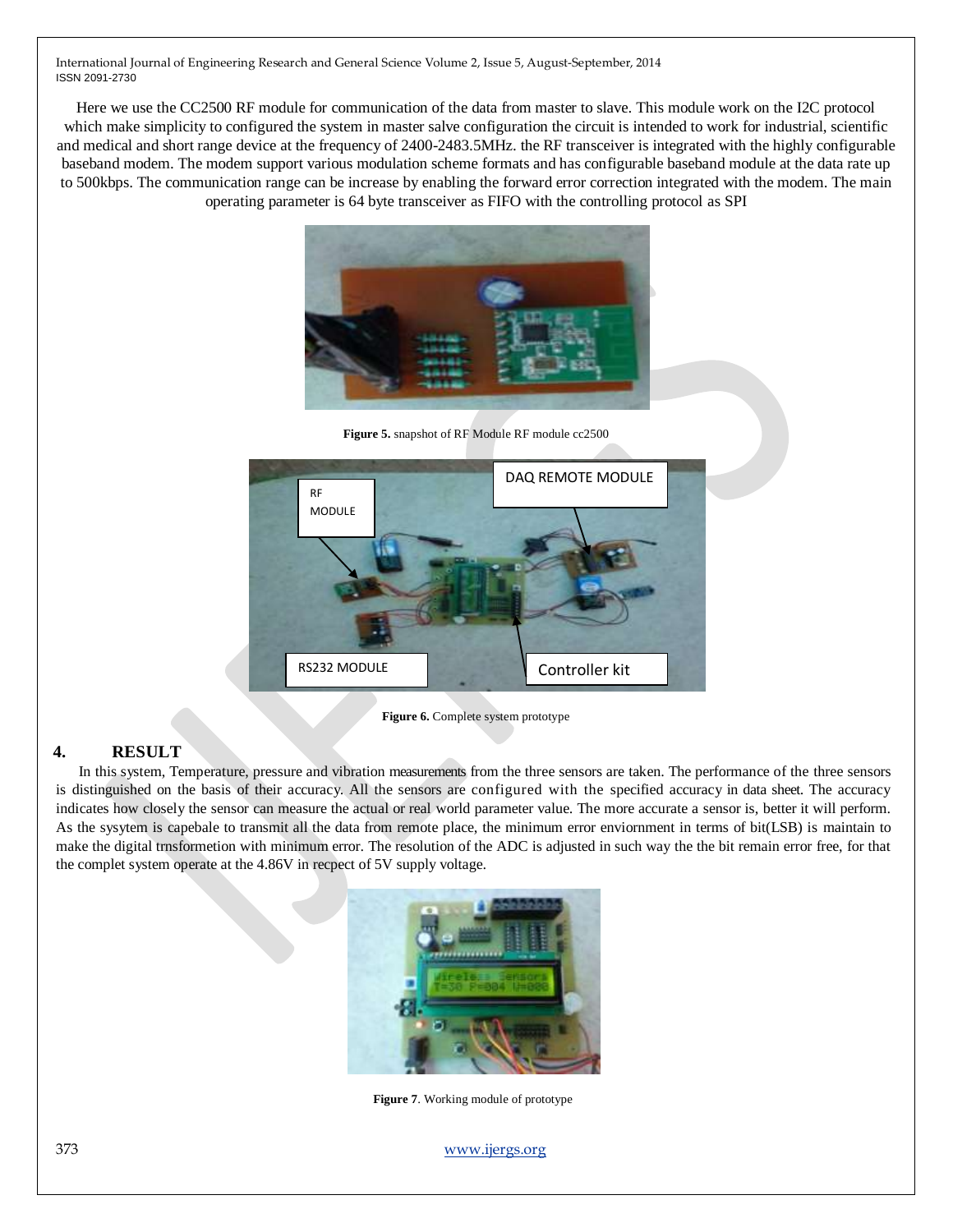Here we use the CC2500 RF module for communication of the data from master to slave. This module work on the I2C protocol which make simplicity to configured the system in master salve configuration the circuit is intended to work for industrial, scientific and medical and short range device at the frequency of 2400-2483.5MHz. the RF transceiver is integrated with the highly configurable baseband modem. The modem support various modulation scheme formats and has configurable baseband module at the data rate up to 500kbps. The communication range can be increase by enabling the forward error correction integrated with the modem. The main operating parameter is 64 byte transceiver as FIFO with the controlling protocol as SPI



**Figure 5.** snapshot of RF Module RF module cc2500



**Figure 6.** Complete system prototype

## **4. RESULT**

 In this system, Temperature, pressure and vibration measurements from the three sensors are taken. The performance of the three sensors is distinguished on the basis of their accuracy. All the sensors are configured with the specified accuracy in data sheet. The accuracy indicates how closely the sensor can measure the actual or real world parameter value. The more accurate a sensor is, better it will perform. As the sysytem is capebale to transmit all the data from remote place, the minimum error enviornment in terms of bit(LSB) is maintain to make the digital trnsformetion with minimum error. The resolution of the ADC is adjusted in such way the the bit remain error free, for that the complet system operate at the 4.86V in recpect of 5V supply voltage.



**Figure 7**. Working module of prototype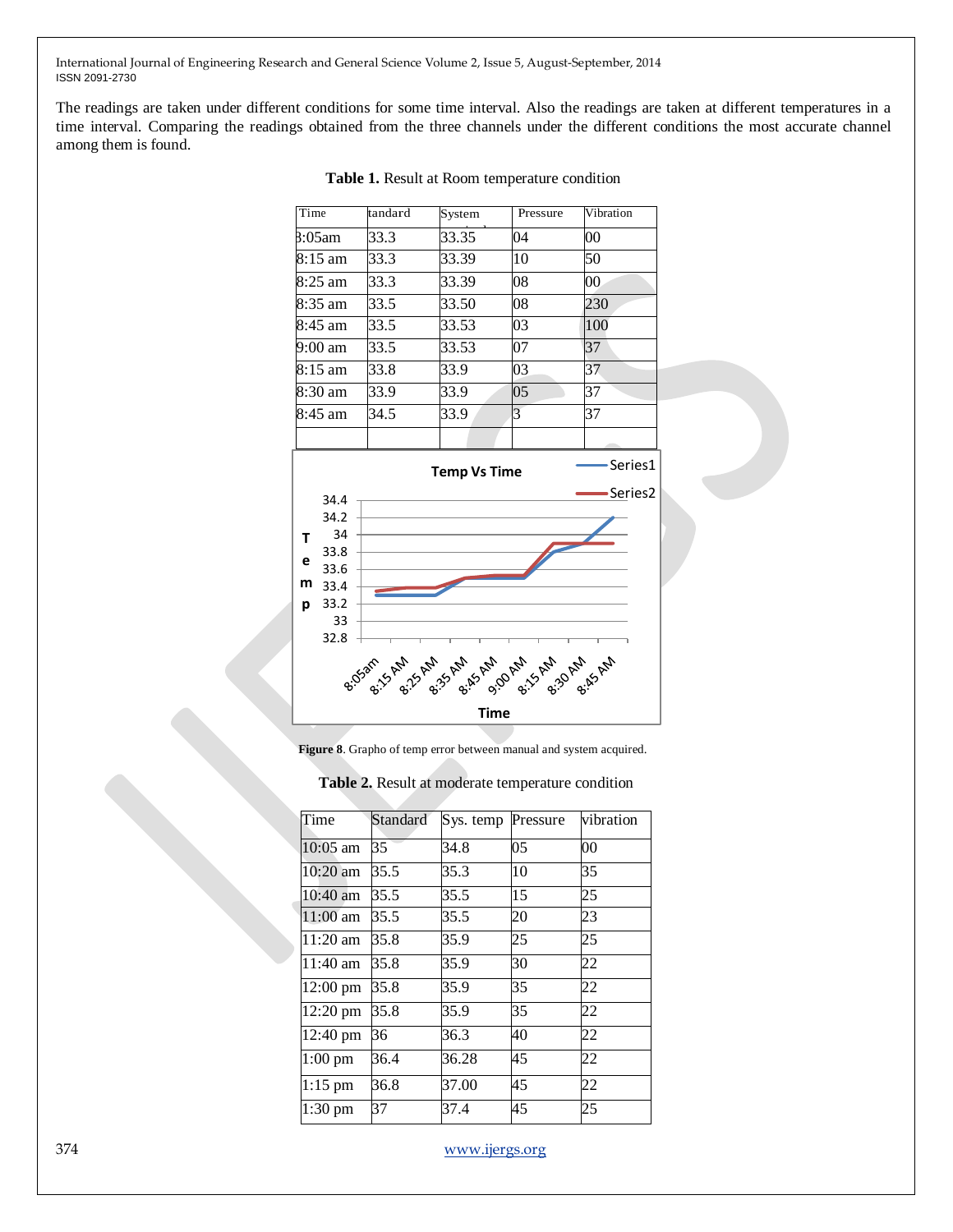The readings are taken under different conditions for some time interval. Also the readings are taken at different temperatures in a time interval. Comparing the readings obtained from the three channels under the different conditions the most accurate channel among them is found.

| Time                           |      | tandard | System | Pressure | Vibration |  |  |  |  |
|--------------------------------|------|---------|--------|----------|-----------|--|--|--|--|
| 8:05am                         |      | 33.3    | 33.35  | 04       | 00        |  |  |  |  |
| $8:15 \text{ am}$              |      | 33.3    | 33.39  | 10       | 50        |  |  |  |  |
| $8:25$ am                      |      | 33.3    | 33.39  | 08       | $00\,$    |  |  |  |  |
| 8:35 am                        |      | 33.5    | 33.50  | 08       | 230       |  |  |  |  |
| $8:45 \text{ am}$              |      | 33.5    | 33.53  | 03       | 100       |  |  |  |  |
| 9:00 am                        |      | 33.5    | 33.53  | 07       | 37        |  |  |  |  |
| 8:15 am                        |      | 33.8    | 33.9   | 03       | 37        |  |  |  |  |
| 8:30 am                        |      | 33.9    | 33.9   | 05       | 37        |  |  |  |  |
| 8:45 am                        |      | 34.5    | 33.9   | 3        | 37        |  |  |  |  |
|                                |      |         |        |          |           |  |  |  |  |
| Series1<br><b>Temp Vs Time</b> |      |         |        |          |           |  |  |  |  |
|                                | 34.4 |         |        |          | Series2   |  |  |  |  |
|                                | 34.2 |         |        |          |           |  |  |  |  |
| т                              | 34   |         |        |          |           |  |  |  |  |
|                                | 33.8 |         |        |          |           |  |  |  |  |
| е                              |      |         |        |          |           |  |  |  |  |
|                                | 33.6 |         |        |          |           |  |  |  |  |
| m                              | 33.4 |         |        |          |           |  |  |  |  |
| р                              | 33.2 |         |        |          |           |  |  |  |  |
|                                | 33   |         |        |          |           |  |  |  |  |
|                                | 32.8 |         |        |          |           |  |  |  |  |

#### **Table 1.** Result at Room temperature condition

**Figure 8**. Grapho of temp error between manual and system acquired.

**Time**

| Time       | Standard | Sys. temp | Pressure | vibration |
|------------|----------|-----------|----------|-----------|
| $10:05$ am | 35       | 34.8      | 05       | 00        |
| 10:20 am   | 35.5     | 35.3      | 10       | 35        |
| 10:40 am   | 35.5     | 35.5      | 15       | 25        |
| $11:00$ am | 35.5     | 35.5      | 20       | 23        |
| $11:20$ am | 35.8     | 35.9      | 25       | 25        |
| 11:40 am   | 35.8     | 35.9      | 30       | 22        |
| 12:00 pm   | 35.8     | 35.9      | 35       | 22        |
| 12:20 pm   | 35.8     | 35.9      | 35       | 22        |
| 12:40 pm   | 36       | 36.3      | 40       | 22        |
| $1:00$ pm  | 36.4     | 36.28     | 45       | 22        |
| $1:15$ pm  | 36.8     | 37.00     | 45       | 22        |
| 1:30 pm    | 37       | 37.4      | 45       | 25        |

## **Table 2.** Result at moderate temperature condition